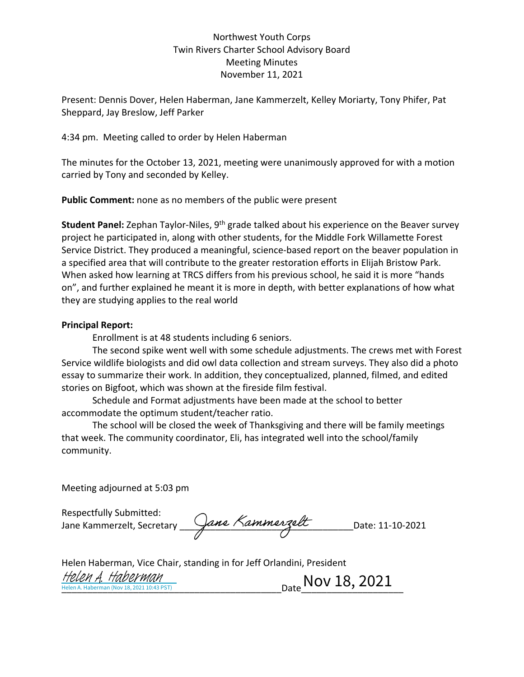## Northwest Youth Corps Twin Rivers Charter School Advisory Board Meeting Minutes November 11, 2021

Present: Dennis Dover, Helen Haberman, Jane Kammerzelt, Kelley Moriarty, Tony Phifer, Pat Sheppard, Jay Breslow, Jeff Parker

4:34 pm. Meeting called to order by Helen Haberman

The minutes for the October 13, 2021, meeting were unanimously approved for with a motion carried by Tony and seconded by Kelley.

**Public Comment:** none as no members of the public were present

**Student Panel:** Zephan Taylor-Niles, 9<sup>th</sup> grade talked about his experience on the Beaver survey project he participated in, along with other students, for the Middle Fork Willamette Forest Service District. They produced a meaningful, science-based report on the beaver population in a specified area that will contribute to the greater restoration efforts in Elijah Bristow Park. When asked how learning at TRCS differs from his previous school, he said it is more "hands on", and further explained he meant it is more in depth, with better explanations of how what they are studying applies to the real world

## **Principal Report:**

Enrollment is at 48 students including 6 seniors.

The second spike went well with some schedule adjustments. The crews met with Forest Service wildlife biologists and did owl data collection and stream surveys. They also did a photo essay to summarize their work. In addition, they conceptualized, planned, filmed, and edited stories on Bigfoot, which was shown at the fireside film festival.

Schedule and Format adjustments have been made at the school to better accommodate the optimum student/teacher ratio.

The school will be closed the week of Thanksgiving and there will be family meetings that week. The community coordinator, Eli, has integrated well into the school/family community.

Meeting adjourned at 5:03 pm

Respectfully Submitted: Jane Kammerzelt, Secretary \_\_\_\_\_\_\_\_\_\_\_\_\_\_\_\_\_\_\_\_\_\_\_\_\_\_\_\_\_\_\_\_\_\_Date: 11-10-2021

| Helen Haberman, Vice Chair, standing in for Jeff Orlandini, President |                            |
|-----------------------------------------------------------------------|----------------------------|
| Helen A. Haberman<br>Helen A. Haberman (Nov 18, 2021 10:43 PST)       | $_{\rm Date}$ Nov 18, 2021 |